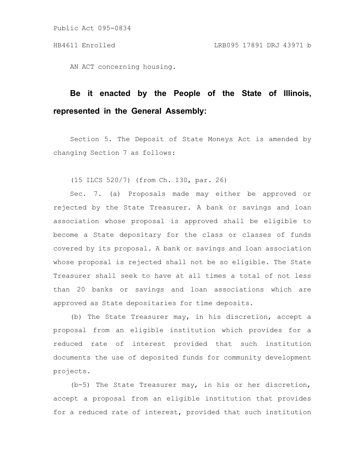AN ACT concerning housing.

## **Be it enacted by the People of the State of Illinois, represented in the General Assembly:**

Section 5. The Deposit of State Moneys Act is amended by changing Section 7 as follows:

(15 ILCS 520/7) (from Ch. 130, par. 26)

Sec. 7. (a) Proposals made may either be approved or rejected by the State Treasurer. A bank or savings and loan association whose proposal is approved shall be eligible to become a State depositary for the class or classes of funds covered by its proposal. A bank or savings and loan association whose proposal is rejected shall not be so eligible. The State Treasurer shall seek to have at all times a total of not less than 20 banks or savings and loan associations which are approved as State depositaries for time deposits.

(b) The State Treasurer may, in his discretion, accept a proposal from an eligible institution which provides for a reduced rate of interest provided that such institution documents the use of deposited funds for community development projects.

(b-5) The State Treasurer may, in his or her discretion, accept a proposal from an eligible institution that provides for a reduced rate of interest, provided that such institution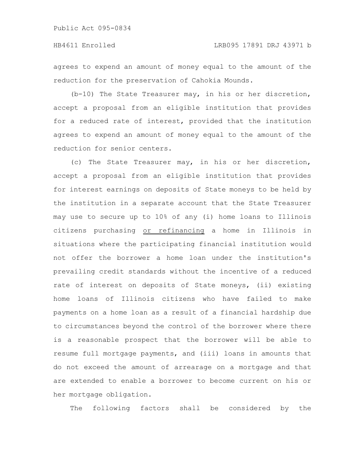agrees to expend an amount of money equal to the amount of the reduction for the preservation of Cahokia Mounds.

(b-10) The State Treasurer may, in his or her discretion, accept a proposal from an eligible institution that provides for a reduced rate of interest, provided that the institution agrees to expend an amount of money equal to the amount of the reduction for senior centers.

(c) The State Treasurer may, in his or her discretion, accept a proposal from an eligible institution that provides for interest earnings on deposits of State moneys to be held by the institution in a separate account that the State Treasurer may use to secure up to 10% of any (i) home loans to Illinois citizens purchasing or refinancing a home in Illinois in situations where the participating financial institution would not offer the borrower a home loan under the institution's prevailing credit standards without the incentive of a reduced rate of interest on deposits of State moneys, (ii) existing home loans of Illinois citizens who have failed to make payments on a home loan as a result of a financial hardship due to circumstances beyond the control of the borrower where there is a reasonable prospect that the borrower will be able to resume full mortgage payments, and (iii) loans in amounts that do not exceed the amount of arrearage on a mortgage and that are extended to enable a borrower to become current on his or her mortgage obligation.

The following factors shall be considered by the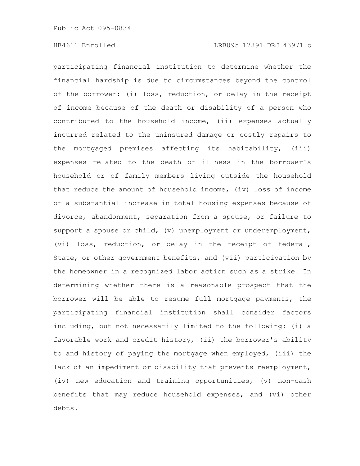participating financial institution to determine whether the financial hardship is due to circumstances beyond the control of the borrower: (i) loss, reduction, or delay in the receipt of income because of the death or disability of a person who contributed to the household income, (ii) expenses actually incurred related to the uninsured damage or costly repairs to the mortgaged premises affecting its habitability, (iii) expenses related to the death or illness in the borrower's household or of family members living outside the household that reduce the amount of household income, (iv) loss of income or a substantial increase in total housing expenses because of divorce, abandonment, separation from a spouse, or failure to support a spouse or child, (v) unemployment or underemployment, (vi) loss, reduction, or delay in the receipt of federal, State, or other government benefits, and (vii) participation by the homeowner in a recognized labor action such as a strike. In determining whether there is a reasonable prospect that the borrower will be able to resume full mortgage payments, the participating financial institution shall consider factors including, but not necessarily limited to the following: (i) a favorable work and credit history, (ii) the borrower's ability to and history of paying the mortgage when employed, (iii) the lack of an impediment or disability that prevents reemployment, (iv) new education and training opportunities, (v) non-cash benefits that may reduce household expenses, and (vi) other debts.